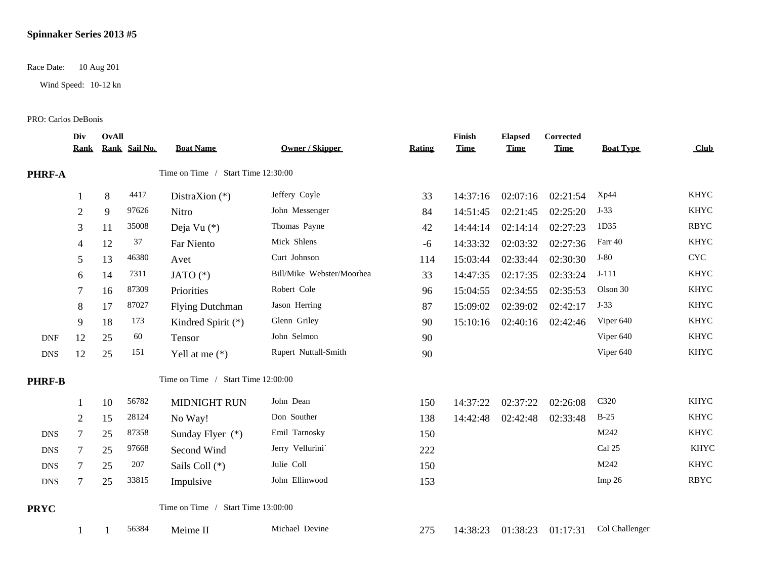## **Spinnaker Series 2013 #5**

Race Date: 10 Aug 201

Wind Speed: 10-12 kn

## PRO: Carlos DeBonis

|               | Div<br><u>Rank</u> | OvAll | Rank Sail No. | <b>Boat Name</b>                   | <b>Owner / Skipper</b>    | Rating | Finish<br><b>Time</b> | <b>Elapsed</b><br><b>Time</b> | Corrected<br><b>Time</b> | <b>Boat Type</b>  | Club                      |
|---------------|--------------------|-------|---------------|------------------------------------|---------------------------|--------|-----------------------|-------------------------------|--------------------------|-------------------|---------------------------|
| PHRF-A        |                    |       |               | Time on Time / Start Time 12:30:00 |                           |        |                       |                               |                          |                   |                           |
|               |                    | 8     | 4417          | DistraXion $(*)$                   | Jeffery Coyle             | 33     | 14:37:16              | 02:07:16                      | 02:21:54                 | Xp44              | <b>KHYC</b>               |
|               | $\overline{2}$     | 9     | 97626         | Nitro                              | John Messenger            | 84     | 14:51:45              | 02:21:45                      | 02:25:20                 | $J-33$            | <b>KHYC</b>               |
|               | 3                  | 11    | 35008         | Deja Vu (*)                        | Thomas Payne              | 42     | 14:44:14              | 02:14:14                      | 02:27:23                 | 1D35              | <b>RBYC</b>               |
|               | 4                  | 12    | 37            | Far Niento                         | Mick Shlens               | $-6$   | 14:33:32              | 02:03:32                      | 02:27:36                 | Farr 40           | <b>KHYC</b>               |
|               | 5                  | 13    | 46380         | Avet                               | Curt Johnson              | 114    | 15:03:44              | 02:33:44                      | 02:30:30                 | $J-80$            | $\ensuremath{\text{CYC}}$ |
|               | 6                  | 14    | 7311          | JATO $(*)$                         | Bill/Mike Webster/Moorhea | 33     | 14:47:35              | 02:17:35                      | 02:33:24                 | $J-111$           | <b>KHYC</b>               |
|               | 7                  | 16    | 87309         | Priorities                         | Robert Cole               | 96     | 15:04:55              | 02:34:55                      | 02:35:53                 | Olson 30          | <b>KHYC</b>               |
|               | 8                  | 17    | 87027         | <b>Flying Dutchman</b>             | Jason Herring             | 87     | 15:09:02              | 02:39:02                      | 02:42:17                 | $J-33$            | <b>KHYC</b>               |
|               | 9                  | 18    | 173           | Kindred Spirit (*)                 | Glenn Griley              | 90     | 15:10:16              | 02:40:16                      | 02:42:46                 | Viper 640         | <b>KHYC</b>               |
| <b>DNF</b>    | 12                 | 25    | 60            | Tensor                             | John Selmon               | 90     |                       |                               |                          | Viper 640         | <b>KHYC</b>               |
| <b>DNS</b>    | 12                 | 25    | 151           | Yell at me $(*)$                   | Rupert Nuttall-Smith      | 90     |                       |                               |                          | Viper 640         | <b>KHYC</b>               |
| <b>PHRF-B</b> |                    |       |               | Time on Time / Start Time 12:00:00 |                           |        |                       |                               |                          |                   |                           |
|               |                    | 10    | 56782         | MIDNIGHT RUN                       | John Dean                 | 150    | 14:37:22              | 02:37:22                      | 02:26:08                 | C320              | <b>KHYC</b>               |
|               | $\overline{2}$     | 15    | 28124         | No Way!                            | Don Souther               | 138    | 14:42:48              | 02:42:48                      | 02:33:48                 | $B-25$            | <b>KHYC</b>               |
| <b>DNS</b>    | $\tau$             | 25    | 87358         | Sunday Flyer $(*)$                 | Emil Tarnosky             | 150    |                       |                               |                          | M242              | <b>KHYC</b>               |
| <b>DNS</b>    | 7                  | 25    | 97668         | Second Wind                        | Jerry Vellurini           | 222    |                       |                               |                          | Cal 25            | <b>KHYC</b>               |
| <b>DNS</b>    | 7                  | 25    | 207           | Sails Coll (*)                     | Julie Coll                | 150    |                       |                               |                          | M242              | <b>KHYC</b>               |
| <b>DNS</b>    | 7                  | 25    | 33815         | Impulsive                          | John Ellinwood            | 153    |                       |                               |                          | Imp <sub>26</sub> | <b>RBYC</b>               |
| <b>PRYC</b>   |                    |       |               | Time on Time / Start Time 13:00:00 |                           |        |                       |                               |                          |                   |                           |
|               |                    |       | 56384         | Meime II                           | Michael Devine            | 275    | 14:38:23              | 01:38:23                      | 01:17:31                 | Col Challenger    |                           |